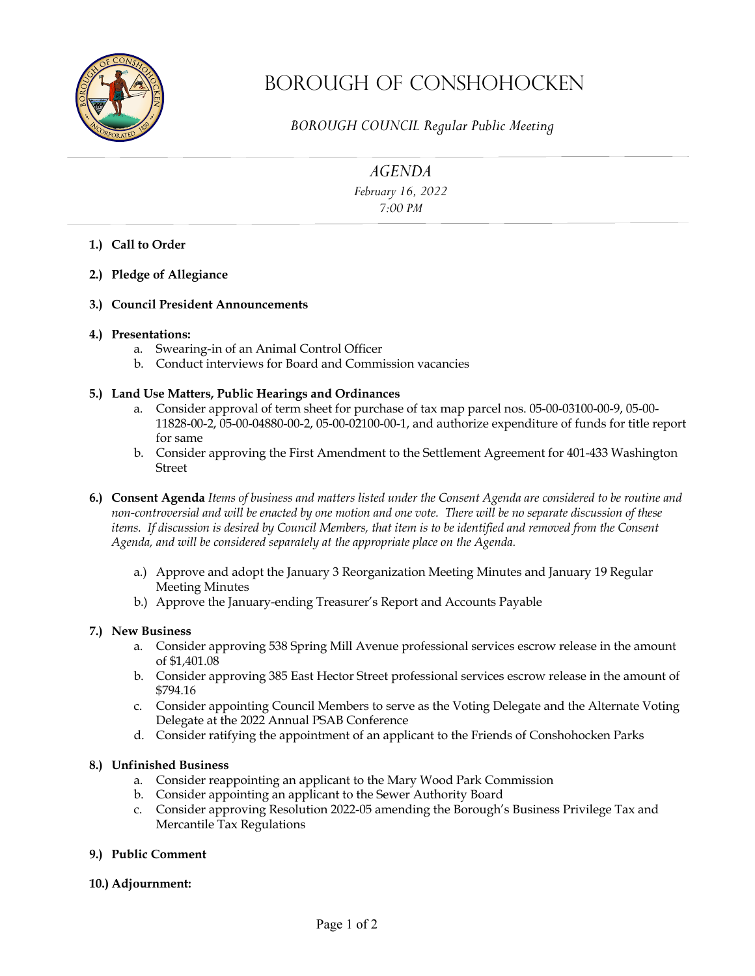

# Borough OF Conshohocken

*BOROUGH COUNCIL Regular Public Meeting* 

*AGENDA*

*February 16, 2022 7:00 PM* 

- **1.) Call to Order**
- **2.) Pledge of Allegiance**
- **3.) Council President Announcements**

### **4.) Presentations:**

- a. Swearing-in of an Animal Control Officer
- b. Conduct interviews for Board and Commission vacancies

## **5.) Land Use Matters, Public Hearings and Ordinances**

- a. Consider approval of term sheet for purchase of tax map parcel nos. 05-00-03100-00-9, 05-00- 11828-00-2, 05-00-04880-00-2, 05-00-02100-00-1, and authorize expenditure of funds for title report for same
- b. Consider approving the First Amendment to the Settlement Agreement for 401-433 Washington Street
- **6.) Consent Agenda** *Items of business and matters listed under the Consent Agenda are considered to be routine and non-controversial and will be enacted by one motion and one vote. There will be no separate discussion of these items. If discussion is desired by Council Members, that item is to be identified and removed from the Consent Agenda, and will be considered separately at the appropriate place on the Agenda.* 
	- a.) Approve and adopt the January 3 Reorganization Meeting Minutes and January 19 Regular Meeting Minutes
	- b.) Approve the January-ending Treasurer's Report and Accounts Payable

### **7.) New Business**

- a. Consider approving 538 Spring Mill Avenue professional services escrow release in the amount of \$1,401.08
- b. Consider approving 385 East Hector Street professional services escrow release in the amount of \$794.16
- c. Consider appointing Council Members to serve as the Voting Delegate and the Alternate Voting Delegate at the 2022 Annual PSAB Conference
- d. Consider ratifying the appointment of an applicant to the Friends of Conshohocken Parks

### **8.) Unfinished Business**

- a. Consider reappointing an applicant to the Mary Wood Park Commission
- b. Consider appointing an applicant to the Sewer Authority Board
- c. Consider approving Resolution 2022-05 amending the Borough's Business Privilege Tax and Mercantile Tax Regulations
- **9.) Public Comment**
- **10.) Adjournment:**